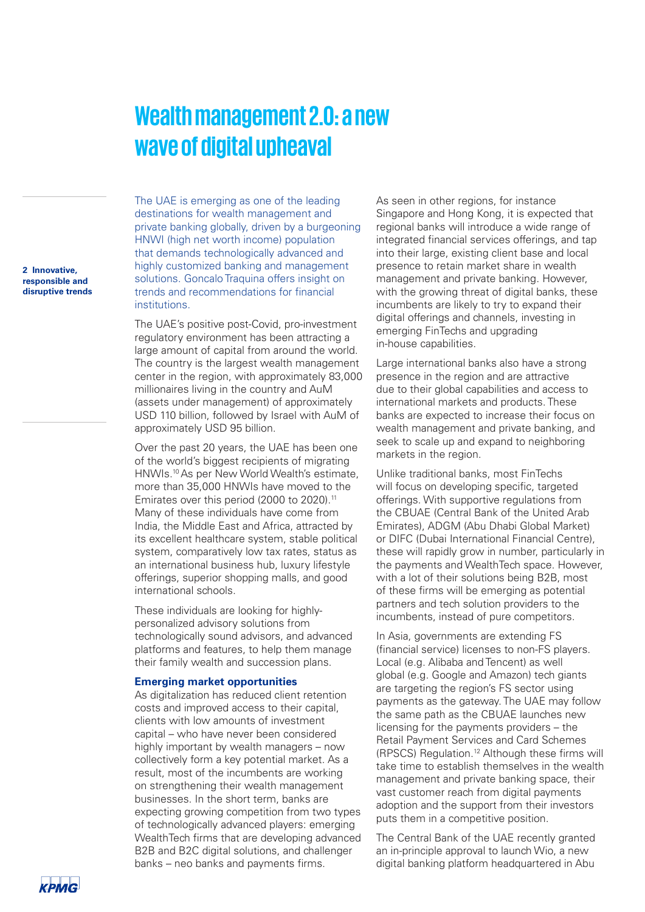## **Wealth management 2.0: a new wave of digital upheaval**

destinations for wealth management and private banking globally, driven by a burgeoning HNWI (high net worth income) population that demands technologically advanced and highly customized banking and management solutions. Goncalo Traquina offers insight on trends and recommendations for financial **institutions** 

The UAE is emerging as one of the leading

The UAE's positive post-Covid, pro-investment regulatory environment has been attracting a large amount of capital from around the world. The country is the largest wealth management center in the region, with approximately 83,000 millionaires living in the country and AuM (assets under management) of approximately USD 110 billion, followed by Israel with AuM of approximately USD 95 billion.

Over the past 20 years, the UAE has been one of the world's biggest recipients of migrating HNWIs.10 As per New World Wealth's estimate, more than 35,000 HNWIs have moved to the Emirates over this period (2000 to 2020).<sup>11</sup> Many of these individuals have come from India, the Middle East and Africa, attracted by its excellent healthcare system, stable political system, comparatively low tax rates, status as an international business hub, luxury lifestyle offerings, superior shopping malls, and good international schools.

These individuals are looking for highlypersonalized advisory solutions from technologically sound advisors, and advanced platforms and features, to help them manage their family wealth and succession plans.

## **Emerging market opportunities**

As digitalization has reduced client retention costs and improved access to their capital, clients with low amounts of investment capital – who have never been considered highly important by wealth managers – now collectively form a key potential market. As a result, most of the incumbents are working on strengthening their wealth management businesses. In the short term, banks are expecting growing competition from two types of technologically advanced players: emerging WealthTech firms that are developing advanced B2B and B2C digital solutions, and challenger banks – neo banks and payments firms.

As seen in other regions, for instance Singapore and Hong Kong, it is expected that regional banks will introduce a wide range of integrated financial services offerings, and tap into their large, existing client base and local presence to retain market share in wealth management and private banking. However, with the growing threat of digital banks, these incumbents are likely to try to expand their digital offerings and channels, investing in emerging FinTechs and upgrading in-house capabilities.

Large international banks also have a strong presence in the region and are attractive due to their global capabilities and access to international markets and products. These banks are expected to increase their focus on wealth management and private banking, and seek to scale up and expand to neighboring markets in the region.

Unlike traditional banks, most FinTechs will focus on developing specific, targeted offerings. With supportive regulations from the CBUAE (Central Bank of the United Arab Emirates), ADGM (Abu Dhabi Global Market) or DIFC (Dubai International Financial Centre), these will rapidly grow in number, particularly in the payments and WealthTech space. However, with a lot of their solutions being B2B, most of these firms will be emerging as potential partners and tech solution providers to the incumbents, instead of pure competitors.

In Asia, governments are extending FS (financial service) licenses to non-FS players. Local (e.g. Alibaba and Tencent) as well global (e.g. Google and Amazon) tech giants are targeting the region's FS sector using payments as the gateway. The UAE may follow the same path as the CBUAE launches new licensing for the payments providers – the Retail Payment Services and Card Schemes (RPSCS) Regulation.12 Although these firms will take time to establish themselves in the wealth management and private banking space, their vast customer reach from digital payments adoption and the support from their investors puts them in a competitive position.

The Central Bank of the UAE recently granted an in-principle approval to launch Wio, a new digital banking platform headquartered in Abu

**2 Innovative, responsible and disruptive trends**

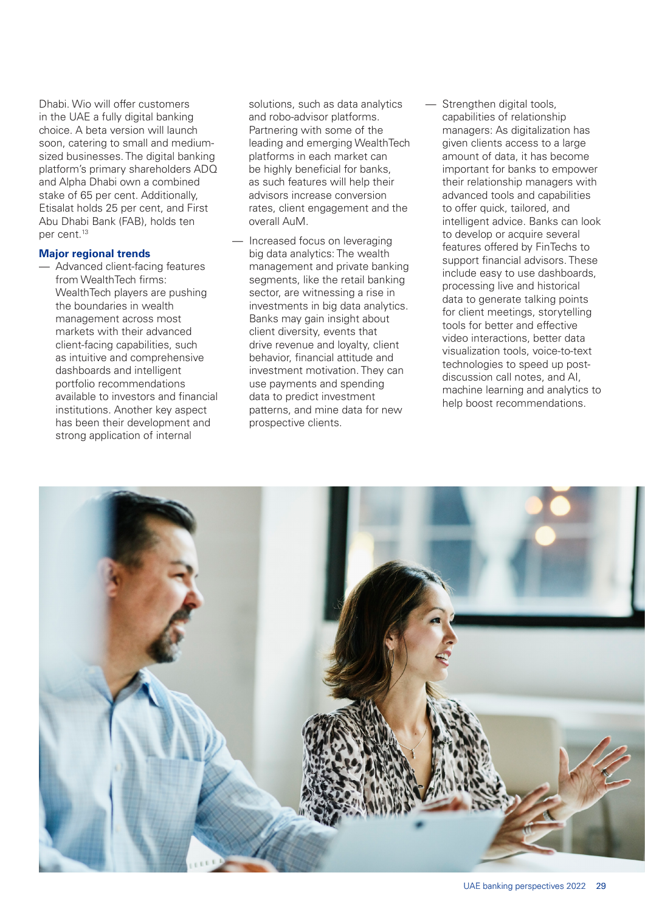Dhabi. Wio will offer customers in the UAE a fully digital banking choice. A beta version will launch soon, catering to small and mediumsized businesses. The digital banking platform's primary shareholders ADQ and Alpha Dhabi own a combined stake of 65 per cent. Additionally, Etisalat holds 25 per cent, and First Abu Dhabi Bank (FAB), holds ten per cent.13

## **Major regional trends**

— Advanced client-facing features from WealthTech firms: WealthTech players are pushing the boundaries in wealth management across most markets with their advanced client-facing capabilities, such as intuitive and comprehensive dashboards and intelligent portfolio recommendations available to investors and financial institutions. Another key aspect has been their development and strong application of internal

solutions, such as data analytics and robo-advisor platforms. Partnering with some of the leading and emerging WealthTech platforms in each market can be highly beneficial for banks, as such features will help their advisors increase conversion rates, client engagement and the overall AuM.

- Increased focus on leveraging big data analytics: The wealth management and private banking segments, like the retail banking sector, are witnessing a rise in investments in big data analytics. Banks may gain insight about client diversity, events that drive revenue and loyalty, client behavior, financial attitude and investment motivation. They can use payments and spending data to predict investment patterns, and mine data for new prospective clients.
- Strengthen digital tools, capabilities of relationship managers: As digitalization has given clients access to a large amount of data, it has become important for banks to empower their relationship managers with advanced tools and capabilities to offer quick, tailored, and intelligent advice. Banks can look to develop or acquire several features offered by FinTechs to support financial advisors. These include easy to use dashboards, processing live and historical data to generate talking points for client meetings, storytelling tools for better and effective video interactions, better data visualization tools, voice-to-text technologies to speed up postdiscussion call notes, and AI, machine learning and analytics to help boost recommendations.